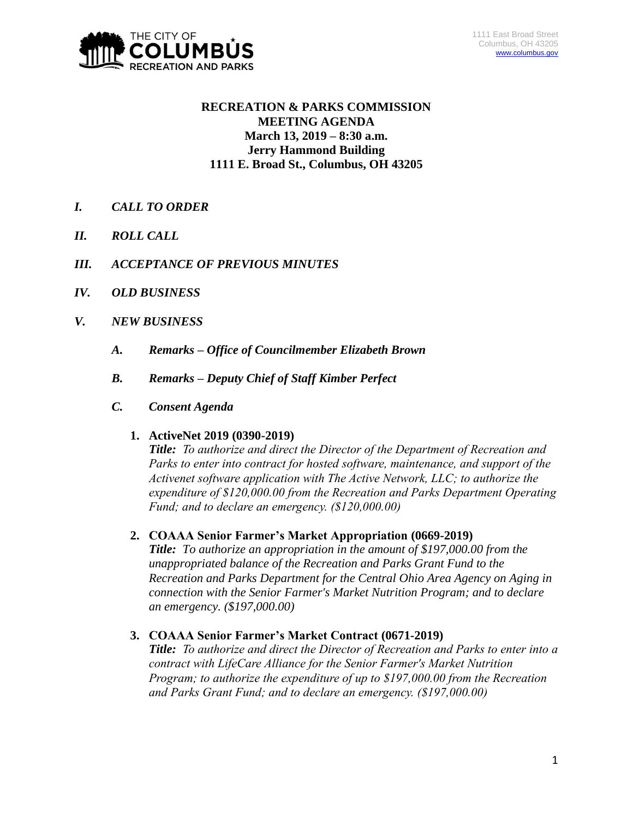

# **RECREATION & PARKS COMMISSION MEETING AGENDA March 13, 2019 – 8:30 a.m. Jerry Hammond Building 1111 E. Broad St., Columbus, OH 43205**

- *I. CALL TO ORDER*
- *II. ROLL CALL*
- *III. ACCEPTANCE OF PREVIOUS MINUTES*
- *IV. OLD BUSINESS*
- *V. NEW BUSINESS*
	- *A. Remarks – Office of Councilmember Elizabeth Brown*
	- *B. Remarks – Deputy Chief of Staff Kimber Perfect*
	- *C. Consent Agenda*

#### **1. ActiveNet 2019 (0390-2019)**

*Title: To authorize and direct the Director of the Department of Recreation and Parks to enter into contract for hosted software, maintenance, and support of the Activenet software application with The Active Network, LLC; to authorize the expenditure of \$120,000.00 from the Recreation and Parks Department Operating Fund; and to declare an emergency. (\$120,000.00)*

# **2. COAAA Senior Farmer's Market Appropriation (0669-2019)**

*Title: To authorize an appropriation in the amount of \$197,000.00 from the unappropriated balance of the Recreation and Parks Grant Fund to the Recreation and Parks Department for the Central Ohio Area Agency on Aging in connection with the Senior Farmer's Market Nutrition Program; and to declare an emergency. (\$197,000.00)*

# **3. COAAA Senior Farmer's Market Contract (0671-2019)**

*Title: To authorize and direct the Director of Recreation and Parks to enter into a contract with LifeCare Alliance for the Senior Farmer's Market Nutrition Program; to authorize the expenditure of up to \$197,000.00 from the Recreation and Parks Grant Fund; and to declare an emergency. (\$197,000.00)*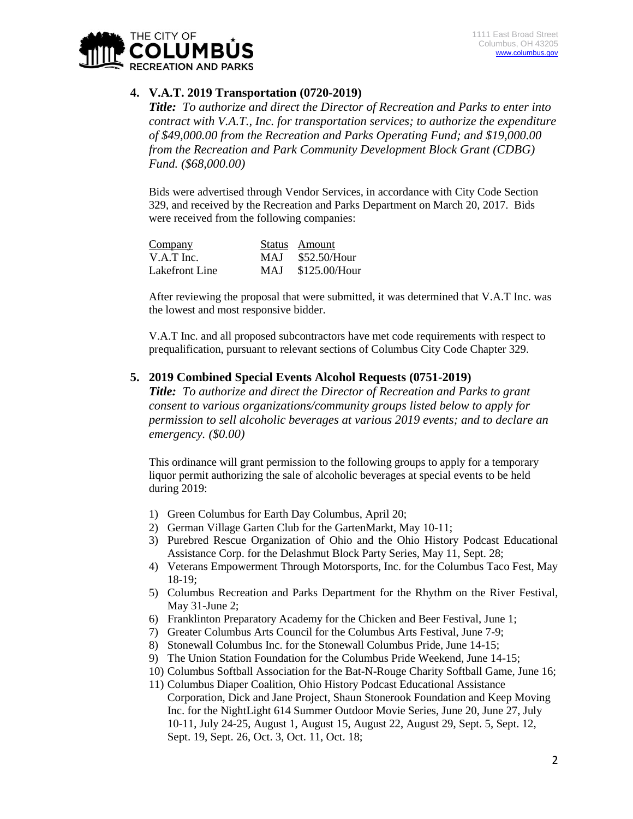

# **4. V.A.T. 2019 Transportation (0720-2019)**

*Title: To authorize and direct the Director of Recreation and Parks to enter into contract with V.A.T., Inc. for transportation services; to authorize the expenditure of \$49,000.00 from the Recreation and Parks Operating Fund; and \$19,000.00 from the Recreation and Park Community Development Block Grant (CDBG) Fund. (\$68,000.00)*

Bids were advertised through Vendor Services, in accordance with City Code Section 329, and received by the Recreation and Parks Department on March 20, 2017. Bids were received from the following companies:

| Company        | Status Amount     |
|----------------|-------------------|
| $V.A.T$ Inc.   | MAJ \$52.50/Hour  |
| Lakefront Line | MAJ \$125.00/Hour |

After reviewing the proposal that were submitted, it was determined that V.A.T Inc. was the lowest and most responsive bidder.

V.A.T Inc. and all proposed subcontractors have met code requirements with respect to prequalification, pursuant to relevant sections of Columbus City Code Chapter 329.

#### **5. 2019 Combined Special Events Alcohol Requests (0751-2019)**

*Title: To authorize and direct the Director of Recreation and Parks to grant consent to various organizations/community groups listed below to apply for permission to sell alcoholic beverages at various 2019 events; and to declare an emergency. (\$0.00)*

This ordinance will grant permission to the following groups to apply for a temporary liquor permit authorizing the sale of alcoholic beverages at special events to be held during 2019:

- 1) Green Columbus for Earth Day Columbus, April 20;
- 2) German Village Garten Club for the GartenMarkt, May 10-11;
- 3) Purebred Rescue Organization of Ohio and the Ohio History Podcast Educational Assistance Corp. for the Delashmut Block Party Series, May 11, Sept. 28;
- 4) Veterans Empowerment Through Motorsports, Inc. for the Columbus Taco Fest, May 18-19;
- 5) Columbus Recreation and Parks Department for the Rhythm on the River Festival, May 31-June 2;
- 6) Franklinton Preparatory Academy for the Chicken and Beer Festival, June 1;
- 7) Greater Columbus Arts Council for the Columbus Arts Festival, June 7-9;
- 8) Stonewall Columbus Inc. for the Stonewall Columbus Pride, June 14-15;
- 9) The Union Station Foundation for the Columbus Pride Weekend, June 14-15;
- 10) Columbus Softball Association for the Bat-N-Rouge Charity Softball Game, June 16;
- 11) Columbus Diaper Coalition, Ohio History Podcast Educational Assistance Corporation, Dick and Jane Project, Shaun Stonerook Foundation and Keep Moving Inc. for the NightLight 614 Summer Outdoor Movie Series, June 20, June 27, July 10-11, July 24-25, August 1, August 15, August 22, August 29, Sept. 5, Sept. 12, Sept. 19, Sept. 26, Oct. 3, Oct. 11, Oct. 18;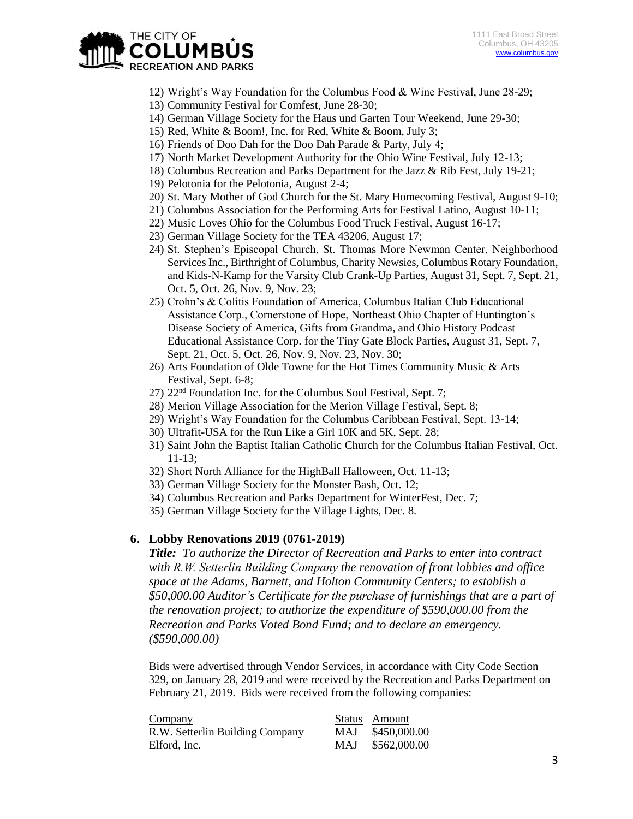

- 12) Wright's Way Foundation for the Columbus Food & Wine Festival, June 28-29;
- 13) Community Festival for Comfest, June 28-30;
- 14) German Village Society for the Haus und Garten Tour Weekend, June 29-30;
- 15) Red, White & Boom!, Inc. for Red, White & Boom, July 3;
- 16) Friends of Doo Dah for the Doo Dah Parade & Party, July 4;
- 17) North Market Development Authority for the Ohio Wine Festival, July 12-13;
- 18) Columbus Recreation and Parks Department for the Jazz & Rib Fest, July 19-21;
- 19) Pelotonia for the Pelotonia, August 2-4;
- 20) St. Mary Mother of God Church for the St. Mary Homecoming Festival, August 9-10;
- 21) Columbus Association for the Performing Arts for Festival Latino, August 10-11;
- 22) Music Loves Ohio for the Columbus Food Truck Festival, August 16-17;
- 23) German Village Society for the TEA 43206, August 17;
- 24) St. Stephen's Episcopal Church, St. Thomas More Newman Center, Neighborhood Services Inc., Birthright of Columbus, Charity Newsies, Columbus Rotary Foundation, and Kids-N-Kamp for the Varsity Club Crank-Up Parties, August 31, Sept. 7, Sept. 21, Oct. 5, Oct. 26, Nov. 9, Nov. 23;
- 25) Crohn's & Colitis Foundation of America, Columbus Italian Club Educational Assistance Corp., Cornerstone of Hope, Northeast Ohio Chapter of Huntington's Disease Society of America, Gifts from Grandma, and Ohio History Podcast Educational Assistance Corp. for the Tiny Gate Block Parties, August 31, Sept. 7, Sept. 21, Oct. 5, Oct. 26, Nov. 9, Nov. 23, Nov. 30;
- 26) Arts Foundation of Olde Towne for the Hot Times Community Music & Arts Festival, Sept. 6-8;
- 27) 22nd Foundation Inc. for the Columbus Soul Festival, Sept. 7;
- 28) Merion Village Association for the Merion Village Festival, Sept. 8;
- 29) Wright's Way Foundation for the Columbus Caribbean Festival, Sept. 13-14;
- 30) Ultrafit-USA for the Run Like a Girl 10K and 5K, Sept. 28;
- 31) Saint John the Baptist Italian Catholic Church for the Columbus Italian Festival, Oct. 11-13;
- 32) Short North Alliance for the HighBall Halloween, Oct. 11-13;
- 33) German Village Society for the Monster Bash, Oct. 12;
- 34) Columbus Recreation and Parks Department for WinterFest, Dec. 7;
- 35) German Village Society for the Village Lights, Dec. 8.

#### **6. Lobby Renovations 2019 (0761-2019)**

*Title: To authorize the Director of Recreation and Parks to enter into contract with R.W. Setterlin Building Company the renovation of front lobbies and office space at the Adams, Barnett, and Holton Community Centers; to establish a \$50,000.00 Auditor's Certificate for the purchase of furnishings that are a part of the renovation project; to authorize the expenditure of \$590,000.00 from the Recreation and Parks Voted Bond Fund; and to declare an emergency. (\$590,000.00)*

Bids were advertised through Vendor Services, in accordance with City Code Section 329, on January 28, 2019 and were received by the Recreation and Parks Department on February 21, 2019. Bids were received from the following companies:

| Company                         |            | Status Amount |
|---------------------------------|------------|---------------|
| R.W. Setterlin Building Company | <b>MAJ</b> | \$450,000.00  |
| Elford, Inc.                    | MAJ.       | \$562,000.00  |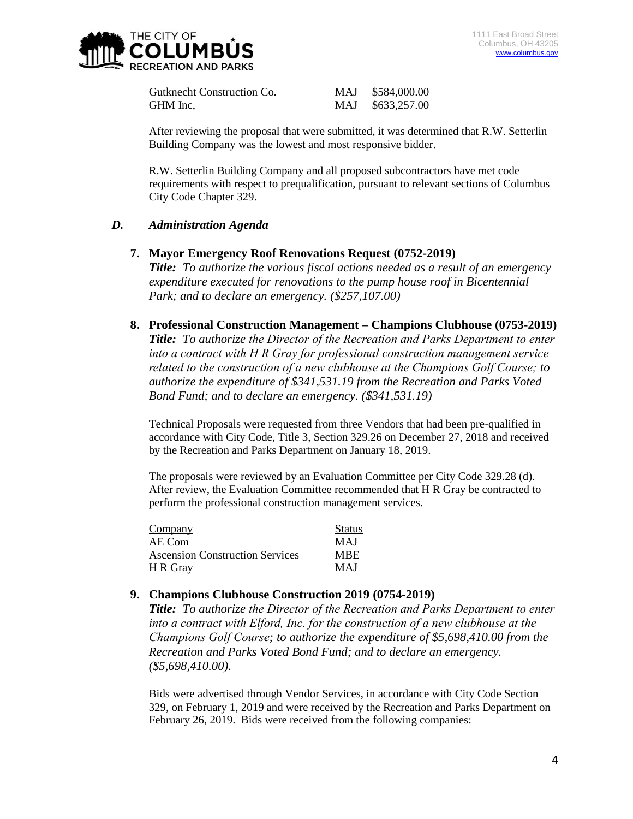

Gutknecht Construction Co. MAJ \$584,000.00 GHM Inc, MAJ \$633,257.00

After reviewing the proposal that were submitted, it was determined that R.W. Setterlin Building Company was the lowest and most responsive bidder.

R.W. Setterlin Building Company and all proposed subcontractors have met code requirements with respect to prequalification, pursuant to relevant sections of Columbus City Code Chapter 329.

# *D. Administration Agenda*

- **7. Mayor Emergency Roof Renovations Request (0752-2019)**  *Title: To authorize the various fiscal actions needed as a result of an emergency expenditure executed for renovations to the pump house roof in Bicentennial Park; and to declare an emergency. (\$257,107.00)*
- **8. Professional Construction Management – Champions Clubhouse (0753-2019)** *Title: To authorize the Director of the Recreation and Parks Department to enter into a contract with H R Gray for professional construction management service related to the construction of a new clubhouse at the Champions Golf Course; to authorize the expenditure of \$341,531.19 from the Recreation and Parks Voted Bond Fund; and to declare an emergency. (\$341,531.19)*

Technical Proposals were requested from three Vendors that had been pre-qualified in accordance with City Code, Title 3, Section 329.26 on December 27, 2018 and received by the Recreation and Parks Department on January 18, 2019.

The proposals were reviewed by an Evaluation Committee per City Code 329.28 (d). After review, the Evaluation Committee recommended that H R Gray be contracted to perform the professional construction management services.

| Company                                | <b>Status</b> |
|----------------------------------------|---------------|
| AE Com                                 | <b>MAJ</b>    |
| <b>Ascension Construction Services</b> | <b>MBE</b>    |
| H R Gray                               | <b>MAI</b>    |

# **9. Champions Clubhouse Construction 2019 (0754-2019)**

*Title: To authorize the Director of the Recreation and Parks Department to enter into a contract with Elford, Inc. for the construction of a new clubhouse at the Champions Golf Course; to authorize the expenditure of \$5,698,410.00 from the Recreation and Parks Voted Bond Fund; and to declare an emergency. (\$5,698,410.00).*

Bids were advertised through Vendor Services, in accordance with City Code Section 329, on February 1, 2019 and were received by the Recreation and Parks Department on February 26, 2019. Bids were received from the following companies: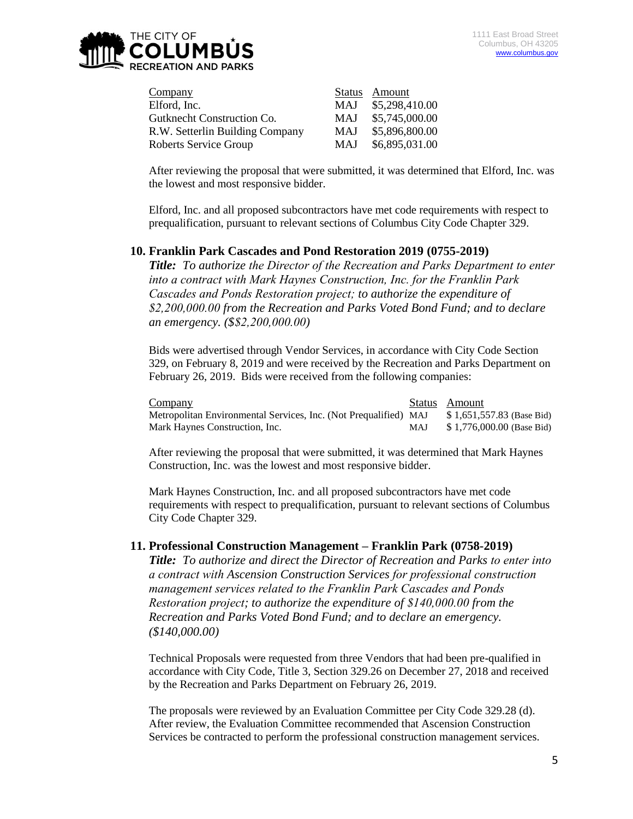

| Company                         |            | Status Amount  |
|---------------------------------|------------|----------------|
| Elford, Inc.                    | <b>MAJ</b> | \$5,298,410.00 |
| Gutknecht Construction Co.      | <b>MAJ</b> | \$5,745,000.00 |
| R.W. Setterlin Building Company | <b>MAJ</b> | \$5,896,800.00 |
| Roberts Service Group           | <b>MAJ</b> | \$6,895,031.00 |

After reviewing the proposal that were submitted, it was determined that Elford, Inc. was the lowest and most responsive bidder.

Elford, Inc. and all proposed subcontractors have met code requirements with respect to prequalification, pursuant to relevant sections of Columbus City Code Chapter 329.

#### **10. Franklin Park Cascades and Pond Restoration 2019 (0755-2019)**

*Title: To authorize the Director of the Recreation and Parks Department to enter into a contract with Mark Haynes Construction, Inc. for the Franklin Park Cascades and Ponds Restoration project; to authorize the expenditure of \$2,200,000.00 from the Recreation and Parks Voted Bond Fund; and to declare an emergency. (\$\$2,200,000.00)*

Bids were advertised through Vendor Services, in accordance with City Code Section 329, on February 8, 2019 and were received by the Recreation and Parks Department on February 26, 2019. Bids were received from the following companies:

| Company                                                          |     | Status Amount             |
|------------------------------------------------------------------|-----|---------------------------|
| Metropolitan Environmental Services, Inc. (Not Prequalified) MAJ |     | \$1,651,557.83 (Base Bid) |
| Mark Haynes Construction, Inc.                                   | MAJ | \$1,776,000.00 (Base Bid) |

After reviewing the proposal that were submitted, it was determined that Mark Haynes Construction, Inc. was the lowest and most responsive bidder.

Mark Haynes Construction, Inc. and all proposed subcontractors have met code requirements with respect to prequalification, pursuant to relevant sections of Columbus City Code Chapter 329.

#### **11. Professional Construction Management – Franklin Park (0758-2019)**

*Title: To authorize and direct the Director of Recreation and Parks to enter into a contract with Ascension Construction Services for professional construction management services related to the Franklin Park Cascades and Ponds Restoration project; to authorize the expenditure of \$140,000.00 from the Recreation and Parks Voted Bond Fund; and to declare an emergency. (\$140,000.00)*

Technical Proposals were requested from three Vendors that had been pre-qualified in accordance with City Code, Title 3, Section 329.26 on December 27, 2018 and received by the Recreation and Parks Department on February 26, 2019.

The proposals were reviewed by an Evaluation Committee per City Code 329.28 (d). After review, the Evaluation Committee recommended that Ascension Construction Services be contracted to perform the professional construction management services.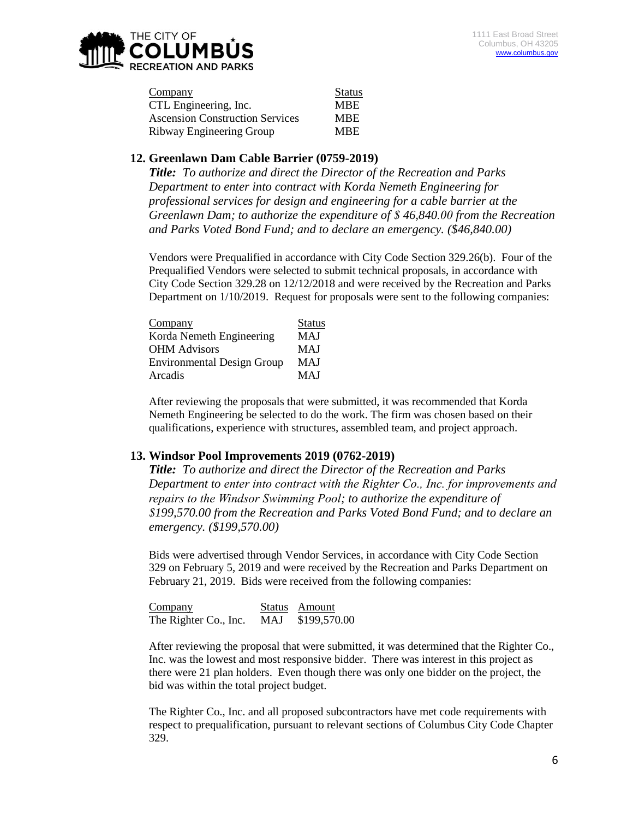

| Company                                | <b>Status</b> |
|----------------------------------------|---------------|
| CTL Engineering, Inc.                  | <b>MBE</b>    |
| <b>Ascension Construction Services</b> | <b>MBE</b>    |
| Ribway Engineering Group               | <b>MBE</b>    |

### **12. Greenlawn Dam Cable Barrier (0759-2019)**

*Title: To authorize and direct the Director of the Recreation and Parks Department to enter into contract with Korda Nemeth Engineering for professional services for design and engineering for a cable barrier at the Greenlawn Dam; to authorize the expenditure of \$ 46,840.00 from the Recreation and Parks Voted Bond Fund; and to declare an emergency. (\$46,840.00)*

Vendors were Prequalified in accordance with City Code Section 329.26(b). Four of the Prequalified Vendors were selected to submit technical proposals, in accordance with City Code Section 329.28 on 12/12/2018 and were received by the Recreation and Parks Department on 1/10/2019. Request for proposals were sent to the following companies:

| Company                           | <b>Status</b> |
|-----------------------------------|---------------|
| Korda Nemeth Engineering          | <b>MAJ</b>    |
| <b>OHM</b> Advisors               | <b>MAJ</b>    |
| <b>Environmental Design Group</b> | <b>MAJ</b>    |
| Arcadis                           | <b>MAJ</b>    |

After reviewing the proposals that were submitted, it was recommended that Korda Nemeth Engineering be selected to do the work. The firm was chosen based on their qualifications, experience with structures, assembled team, and project approach.

#### **13. Windsor Pool Improvements 2019 (0762-2019)**

*Title: To authorize and direct the Director of the Recreation and Parks Department to enter into contract with the Righter Co., Inc. for improvements and repairs to the Windsor Swimming Pool; to authorize the expenditure of \$199,570.00 from the Recreation and Parks Voted Bond Fund; and to declare an emergency. (\$199,570.00)*

Bids were advertised through Vendor Services, in accordance with City Code Section 329 on February 5, 2019 and were received by the Recreation and Parks Department on February 21, 2019. Bids were received from the following companies:

| Company               |     | Status Amount |
|-----------------------|-----|---------------|
| The Righter Co., Inc. | MAJ | \$199,570.00  |

After reviewing the proposal that were submitted, it was determined that the Righter Co., Inc. was the lowest and most responsive bidder. There was interest in this project as there were 21 plan holders. Even though there was only one bidder on the project, the bid was within the total project budget.

The Righter Co., Inc. and all proposed subcontractors have met code requirements with respect to prequalification, pursuant to relevant sections of Columbus City Code Chapter 329.